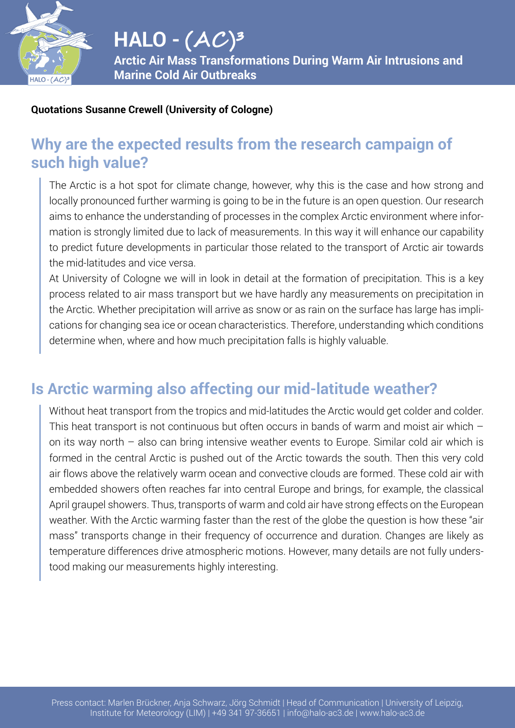

#### **Quotations Susanne Crewell (University of Cologne)**

### **Why are the expected results from the research campaign of such high value?**

The Arctic is a hot spot for climate change, however, why this is the case and how strong and locally pronounced further warming is going to be in the future is an open question. Our research aims to enhance the understanding of processes in the complex Arctic environment where information is strongly limited due to lack of measurements. In this way it will enhance our capability to predict future developments in particular those related to the transport of Arctic air towards the mid-latitudes and vice versa.

At University of Cologne we will in look in detail at the formation of precipitation. This is a key process related to air mass transport but we have hardly any measurements on precipitation in the Arctic. Whether precipitation will arrive as snow or as rain on the surface has large has implications for changing sea ice or ocean characteristics. Therefore, understanding which conditions determine when, where and how much precipitation falls is highly valuable.

### **Is Arctic warming also affecting our mid-latitude weather?**

Without heat transport from the tropics and mid-latitudes the Arctic would get colder and colder. This heat transport is not continuous but often occurs in bands of warm and moist air which – on its way north – also can bring intensive weather events to Europe. Similar cold air which is formed in the central Arctic is pushed out of the Arctic towards the south. Then this very cold air flows above the relatively warm ocean and convective clouds are formed. These cold air with embedded showers often reaches far into central Europe and brings, for example, the classical April graupel showers. Thus, transports of warm and cold air have strong effects on the European weather. With the Arctic warming faster than the rest of the globe the question is how these "air mass" transports change in their frequency of occurrence and duration. Changes are likely as temperature differences drive atmospheric motions. However, many details are not fully understood making our measurements highly interesting.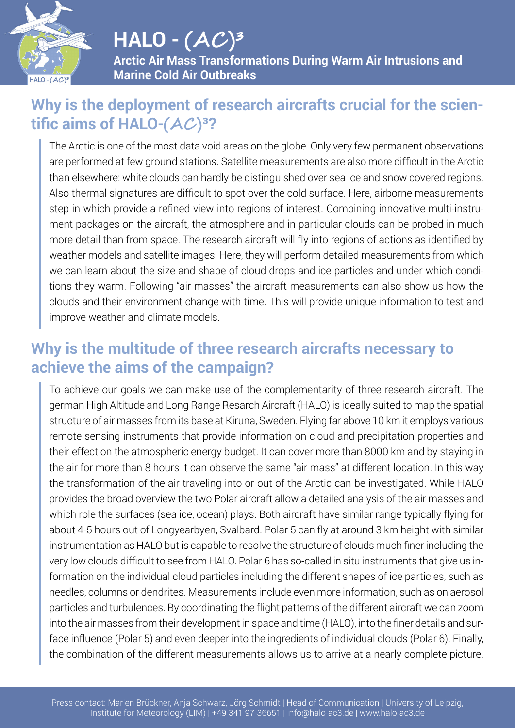

# **HALO - (AC )³**

**Arctic Air Mass Transformations During Warm Air Intrusions and Marine Cold Air Outbreaks**

#### **Why is the deployment of research aircrafts crucial for the scientific aims of HALO-(AC )³?**

The Arctic is one of the most data void areas on the globe. Only very few permanent observations are performed at few ground stations. Satellite measurements are also more difficult in the Arctic than elsewhere: white clouds can hardly be distinguished over sea ice and snow covered regions. Also thermal signatures are difficult to spot over the cold surface. Here, airborne measurements step in which provide a refined view into regions of interest. Combining innovative multi-instrument packages on the aircraft, the atmosphere and in particular clouds can be probed in much more detail than from space. The research aircraft will fly into regions of actions as identified by weather models and satellite images. Here, they will perform detailed measurements from which we can learn about the size and shape of cloud drops and ice particles and under which conditions they warm. Following "air masses" the aircraft measurements can also show us how the clouds and their environment change with time. This will provide unique information to test and improve weather and climate models.

#### **Why is the multitude of three research aircrafts necessary to achieve the aims of the campaign?**

To achieve our goals we can make use of the complementarity of three research aircraft. The german High Altitude and Long Range Resarch Aircraft (HALO) is ideally suited to map the spatial structure of air masses from its base at Kiruna, Sweden. Flying far above 10 km it employs various remote sensing instruments that provide information on cloud and precipitation properties and their effect on the atmospheric energy budget. It can cover more than 8000 km and by staying in the air for more than 8 hours it can observe the same "air mass" at different location. In this way the transformation of the air traveling into or out of the Arctic can be investigated. While HALO provides the broad overview the two Polar aircraft allow a detailed analysis of the air masses and which role the surfaces (sea ice, ocean) plays. Both aircraft have similar range typically flying for about 4-5 hours out of Longyearbyen, Svalbard. Polar 5 can fly at around 3 km height with similar instrumentation as HALO but is capable to resolve the structure of clouds much finer including the very low clouds difficult to see from HALO. Polar 6 has so-called in situ instruments that give us information on the individual cloud particles including the different shapes of ice particles, such as needles, columns or dendrites. Measurements include even more information, such as on aerosol particles and turbulences. By coordinating the flight patterns of the different aircraft we can zoom into the air masses from their development in space and time (HALO), into the finer details and surface influence (Polar 5) and even deeper into the ingredients of individual clouds (Polar 6). Finally, the combination of the different measurements allows us to arrive at a nearly complete picture.